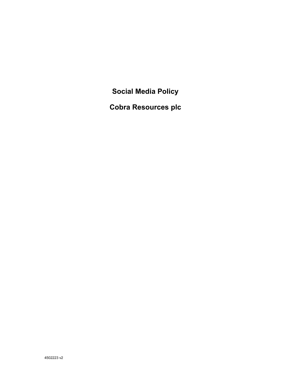**Social Media Policy** 

**Cobra Resources plc**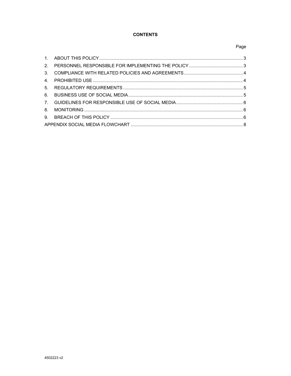# **CONTENTS**

# Page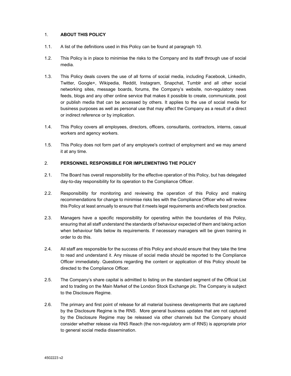## 1. **ABOUT THIS POLICY**

- 1.1. A list of the definitions used in this Policy can be found at paragraph 10.
- 1.2. This Policy is in place to minimise the risks to the Company and its staff through use of social media.
- 1.3. This Policy deals covers the use of all forms of social media, including Facebook, LinkedIn, Twitter, Google+, Wikipedia, Reddit, Instagram, Snapchat, Tumblr and all other social networking sites, message boards, forums, the Company's website, non-regulatory news feeds, blogs and any other online service that makes it possible to create, communicate, post or publish media that can be accessed by others. It applies to the use of social media for business purposes as well as personal use that may affect the Company as a result of a direct or indirect reference or by implication.
- 1.4. This Policy covers all employees, directors, officers, consultants, contractors, interns, casual workers and agency workers.
- 1.5. This Policy does not form part of any employee's contract of employment and we may amend it at any time.

## 2. **PERSONNEL RESPONSIBLE FOR IMPLEMENTING THE POLICY**

- 2.1. The Board has overall responsibility for the effective operation of this Policy, but has delegated day-to-day responsibility for its operation to the Compliance Officer.
- 2.2. Responsibility for monitoring and reviewing the operation of this Policy and making recommendations for change to minimise risks lies with the Compliance Officer who will review this Policy at least annually to ensure that it meets legal requirements and reflects best practice.
- 2.3. Managers have a specific responsibility for operating within the boundaries of this Policy, ensuring that all staff understand the standards of behaviour expected of them and taking action when behaviour falls below its requirements. If necessary managers will be given training in order to do this.
- 2.4. All staff are responsible for the success of this Policy and should ensure that they take the time to read and understand it. Any misuse of social media should be reported to the Compliance Officer immediately. Questions regarding the content or application of this Policy should be directed to the Compliance Officer.
- 2.5. The Company's share capital is admitted to listing on the standard segment of the Official List and to trading on the Main Market of the London Stock Exchange plc. The Company is subject to the Disclosure Regime.
- 2.6. The primary and first point of release for all material business developments that are captured by the Disclosure Regime is the RNS. More general business updates that are not captured by the Disclosure Regime may be released via other channels but the Company should consider whether release via RNS Reach (the non-regulatory arm of RNS) is appropriate prior to general social media dissemination.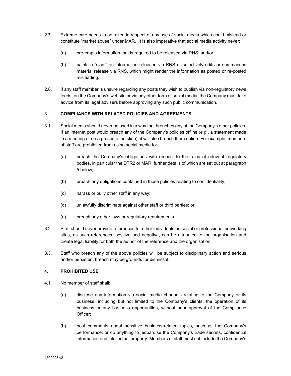- 2.7. Extreme care needs to be taken in respect of any use of social media which could mislead or constitute "market abuse" under MAR. It is also imperative that social media activity never:
	- (a) pre-empts information that is required to be released via RNS; and/or
	- (b) paints a "slant" on information released via RNS or selectively edits or summarises material release via RNS, which might render the information as posted or re-posted misleading.
- 2.8. If any staff member is unsure regarding any posts they wish to publish via non-regulatory news feeds, on the Company's website or via any other form of social media, the Company must take advice from its legal advisers before approving any such public communication.

# 3. **COMPLIANCE WITH RELATED POLICIES AND AGREEMENTS**

- 3.1. Social media should never be used in a way that breaches any of the Company's other policies. If an internet post would breach any of the Company's policies offline (*e.g.*, a statement made in a meeting or on a presentation slide), it will also breach them online. For example, members of staff are prohibited from using social media to:
	- (a) breach the Company's obligations with respect to the rules of relevant regulatory bodies, in particular the DTR2 or MAR, further details of which are set out at paragraph 5 below;
	- (b) breach any obligations contained in those policies relating to confidentiality;
	- (c) harass or bully other staff in any way;
	- (d) unlawfully discriminate against other staff or third parties; or
	- (e) breach any other laws or regulatory requirements.
- 3.2. Staff should never provide references for other individuals on social or professional networking sites, as such references, positive and negative, can be attributed to the organisation and create legal liability for both the author of the reference and the organisation.
- 3.3. Staff who breach any of the above policies will be subject to disciplinary action and serious and/or persistent breach may be grounds for dismissal.

## 4. **PROHIBITED USE**

- 4.1. No member of staff shall:
	- (a) disclose any information via social media channels relating to the Company or its business, including but not limited to the Company's clients, the operation of its business or any business opportunities, without prior approval of the Compliance Officer;
	- (b) post comments about sensitive business-related topics, such as the Company's performance, or do anything to jeopardise the Company's trade secrets, confidential information and intellectual property. Members of staff must not include the Company's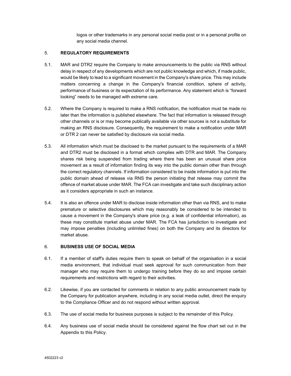logos or other trademarks in any personal social media post or in a personal profile on any social media channel.

## 5. **REGULATORY REQUIREMENTS**

- 5.1. MAR and DTR2 require the Company to make announcements to the public via RNS without delay in respect of any developments which are not public knowledge and which, if made public, would be likely to lead to a significant movement in the Company's share price. This may include matters concerning a change in the Company's financial condition, sphere of activity, performance of business or its expectation of its performance. Any statement which is "forward looking" needs to be managed with extreme care.
- 5.2. Where the Company is required to make a RNS notification, the notification must be made no later than the information is published elsewhere. The fact that information is released through other channels or is or may become publically available via other sources is not a substitute for making an RNS disclosure. Consequently, the requirement to make a notification under MAR or DTR 2 can never be satisfied by disclosure via social media.
- 5.3. All information which must be disclosed to the market pursuant to the requirements of a MAR and DTR2 must be disclosed in a format which complies with DTR and MAR. The Company shares risk being suspended from trading where there has been an unusual share price movement as a result of information finding its way into the public domain other than through the correct regulatory channels. If information considered to be inside information is put into the public domain ahead of release via RNS the person initiating that release may commit the offence of market abuse under MAR. The FCA can investigate and take such disciplinary action as it considers appropriate in such an instance.
- 5.4. It is also an offence under MAR to disclose inside information other than via RNS, and to make premature or selective disclosures which may reasonably be considered to be intended to cause a movement in the Company's share price (e.g. a leak of confidential information), as these may constitute market abuse under MAR. The FCA has jurisdiction to investigate and may impose penalties (including unlimited fines) on both the Company and its directors for market abuse.

## 6. **BUSINESS USE OF SOCIAL MEDIA**

- 6.1. If a member of staff's duties require them to speak on behalf of the organisation in a social media environment, that individual must seek approval for such communication from their manager who may require them to undergo training before they do so and impose certain requirements and restrictions with regard to their activities.
- 6.2. Likewise, if you are contacted for comments in relation to any public announcement made by the Company for publication anywhere, including in any social media outlet, direct the enquiry to the Compliance Officer and do not respond without written approval.
- 6.3. The use of social media for business purposes is subject to the remainder of this Policy.
- 6.4. Any business use of social media should be considered against the flow chart set out in the Appendix to this Policy.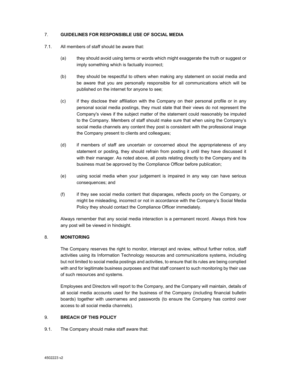## 7. **GUIDELINES FOR RESPONSIBLE USE OF SOCIAL MEDIA**

- 7.1. All members of staff should be aware that:
	- (a) they should avoid using terms or words which might exaggerate the truth or suggest or imply something which is factually incorrect;
	- (b) they should be respectful to others when making any statement on social media and be aware that you are personally responsible for all communications which will be published on the internet for anyone to see;
	- (c) if they disclose their affiliation with the Company on their personal profile or in any personal social media postings, they must state that their views do not represent the Company's views if the subject matter of the statement could reasonably be imputed to the Company. Members of staff should make sure that when using the Company's social media channels any content they post is consistent with the professional image the Company present to clients and colleagues;
	- (d) if members of staff are uncertain or concerned about the appropriateness of any statement or posting, they should refrain from posting it until they have discussed it with their manager. As noted above, all posts relating directly to the Company and its business must be approved by the Compliance Officer before publication;
	- (e) using social media when your judgement is impaired in any way can have serious consequences; and
	- (f) if they see social media content that disparages, reflects poorly on the Company, or might be misleading, incorrect or not in accordance with the Company's Social Media Policy they should contact the Compliance Officer immediately.

Always remember that any social media interaction is a permanent record. Always think how any post will be viewed in hindsight.

## 8. **MONITORING**

The Company reserves the right to monitor, intercept and review, without further notice, staff activities using its Information Technology resources and communications systems, including but not limited to social media postings and activities, to ensure that its rules are being complied with and for legitimate business purposes and that staff consent to such monitoring by their use of such resources and systems.

Employees and Directors will report to the Company, and the Company will maintain, details of all social media accounts used for the business of the Company (including financial bulletin boards) together with usernames and passwords (to ensure the Company has control over access to all social media channels).

## 9. **BREACH OF THIS POLICY**

9.1. The Company should make staff aware that: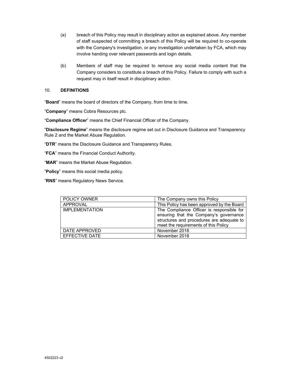- (a) breach of this Policy may result in disciplinary action as explained above. Any member of staff suspected of committing a breach of this Policy will be required to co-operate with the Company's investigation, or any investigation undertaken by FCA, which may involve handing over relevant passwords and login details.
- (b) Members of staff may be required to remove any social media content that the Company considers to constitute a breach of this Policy. Failure to comply with such a request may in itself result in disciplinary action.

#### 10. **DEFINITIONS**

"**Board**" means the board of directors of the Company, from time to time.

"**Company**" means Cobra Resources plc.

"**Compliance Officer**" means the Chief Financial Officer of the Company.

"**Disclosure Regime**" means the disclosure regime set out in Disclosure Guidance and Transparency Rule 2 and the Market Abuse Regulation.

"**DTR**" means the Disclosure Guidance and Transparency Rules.

"**FCA**" means the Financial Conduct Authority.

"**MAR**" means the Market Abuse Regulation.

"**Policy**" means this social media policy.

"**RNS**" means Regulatory News Service.

| <b>POLICY OWNER</b>   | The Company owns this Policy                                                                                                                                             |
|-----------------------|--------------------------------------------------------------------------------------------------------------------------------------------------------------------------|
| APPROVAL              | This Policy has been approved by the Board                                                                                                                               |
| <b>IMPLEMENTATION</b> | The Compliance Officer is responsible for<br>ensuring that the Company's governance<br>structures and procedures are adequate to<br>meet the requirements of this Policy |
| DATE APPROVED         | November 2018                                                                                                                                                            |
| <b>EFFECTIVE DATE</b> | November 2018                                                                                                                                                            |